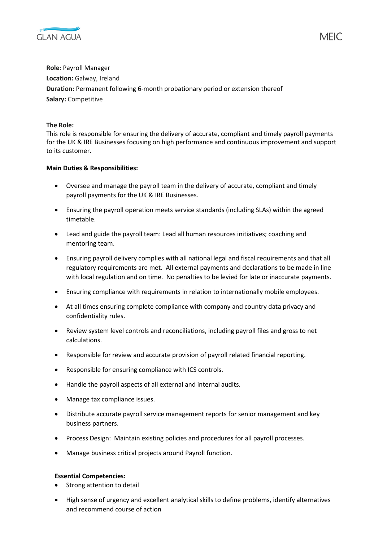

**Role:** Payroll Manager **Location:** Galway, Ireland **Duration:** Permanent following 6-month probationary period or extension thereof **Salary:** Competitive

## **The Role:**

This role is responsible for ensuring the delivery of accurate, compliant and timely payroll payments for the UK & IRE Businesses focusing on high performance and continuous improvement and support to its customer.

## **Main Duties & Responsibilities:**

- Oversee and manage the payroll team in the delivery of accurate, compliant and timely payroll payments for the UK & IRE Businesses.
- Ensuring the payroll operation meets service standards (including SLAs) within the agreed timetable.
- Lead and guide the payroll team: Lead all human resources initiatives; coaching and mentoring team.
- Ensuring payroll delivery complies with all national legal and fiscal requirements and that all regulatory requirements are met. All external payments and declarations to be made in line with local regulation and on time. No penalties to be levied for late or inaccurate payments.
- Ensuring compliance with requirements in relation to internationally mobile employees.
- At all times ensuring complete compliance with company and country data privacy and confidentiality rules.
- Review system level controls and reconciliations, including payroll files and gross to net calculations.
- Responsible for review and accurate provision of payroll related financial reporting.
- Responsible for ensuring compliance with ICS controls.
- Handle the payroll aspects of all external and internal audits.
- Manage tax compliance issues.
- Distribute accurate payroll service management reports for senior management and key business partners.
- Process Design: Maintain existing policies and procedures for all payroll processes.
- Manage business critical projects around Payroll function.

## **Essential Competencies:**

- Strong attention to detail
- High sense of urgency and excellent analytical skills to define problems, identify alternatives and recommend course of action